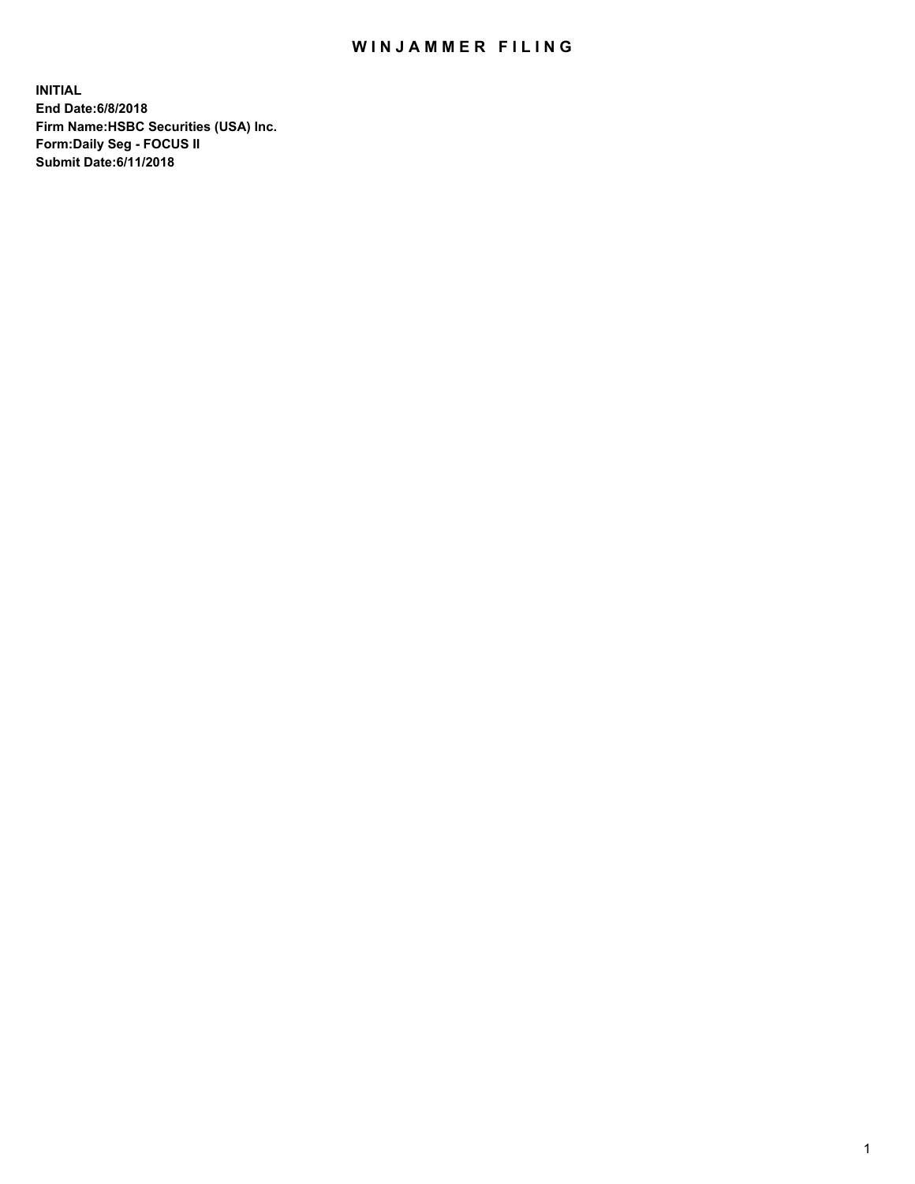## WIN JAMMER FILING

**INITIAL End Date:6/8/2018 Firm Name:HSBC Securities (USA) Inc. Form:Daily Seg - FOCUS II Submit Date:6/11/2018**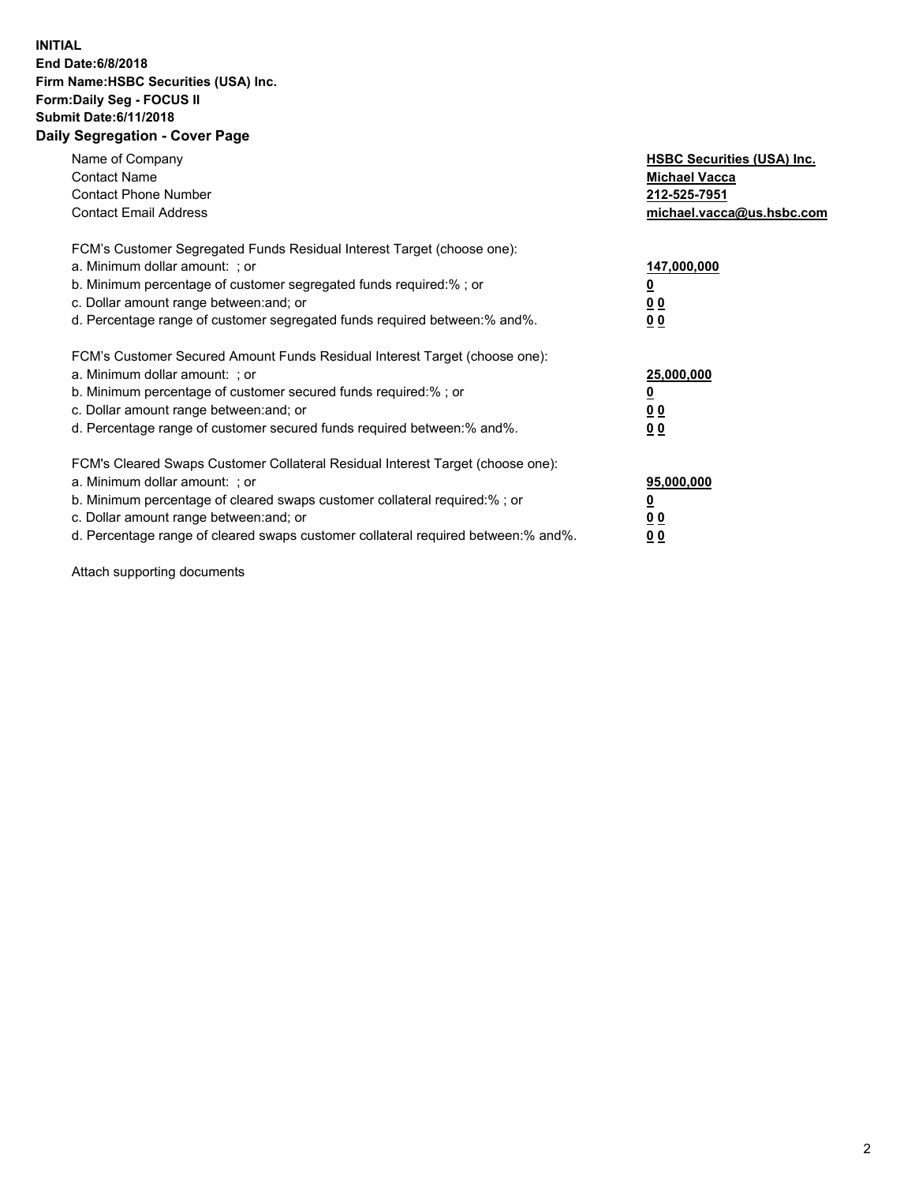## **INITIAL End Date:6/8/2018 Firm Name:HSBC Securities (USA) Inc. Form:Daily Seg - FOCUS II Submit Date:6/11/2018 Daily Segregation - Cover Page**

| Name of Company<br><b>Contact Name</b><br><b>Contact Phone Number</b><br><b>Contact Email Address</b>                                                                                                                                                                                                                          | <b>HSBC Securities (USA) Inc.</b><br><b>Michael Vacca</b><br>212-525-7951<br>michael.vacca@us.hsbc.com |
|--------------------------------------------------------------------------------------------------------------------------------------------------------------------------------------------------------------------------------------------------------------------------------------------------------------------------------|--------------------------------------------------------------------------------------------------------|
| FCM's Customer Segregated Funds Residual Interest Target (choose one):<br>a. Minimum dollar amount: ; or<br>b. Minimum percentage of customer segregated funds required:%; or<br>c. Dollar amount range between: and; or<br>d. Percentage range of customer segregated funds required between:% and%.                          | 147,000,000<br><u>0</u><br><u>00</u><br>0 <sub>0</sub>                                                 |
| FCM's Customer Secured Amount Funds Residual Interest Target (choose one):<br>a. Minimum dollar amount: ; or<br>b. Minimum percentage of customer secured funds required:%; or<br>c. Dollar amount range between: and; or<br>d. Percentage range of customer secured funds required between:% and%.                            | 25,000,000<br><u>0</u><br><u>00</u><br>00                                                              |
| FCM's Cleared Swaps Customer Collateral Residual Interest Target (choose one):<br>a. Minimum dollar amount: ; or<br>b. Minimum percentage of cleared swaps customer collateral required:% ; or<br>c. Dollar amount range between: and; or<br>d. Percentage range of cleared swaps customer collateral required between:% and%. | 95,000,000<br><u>00</u><br>0 <sub>0</sub>                                                              |

Attach supporting documents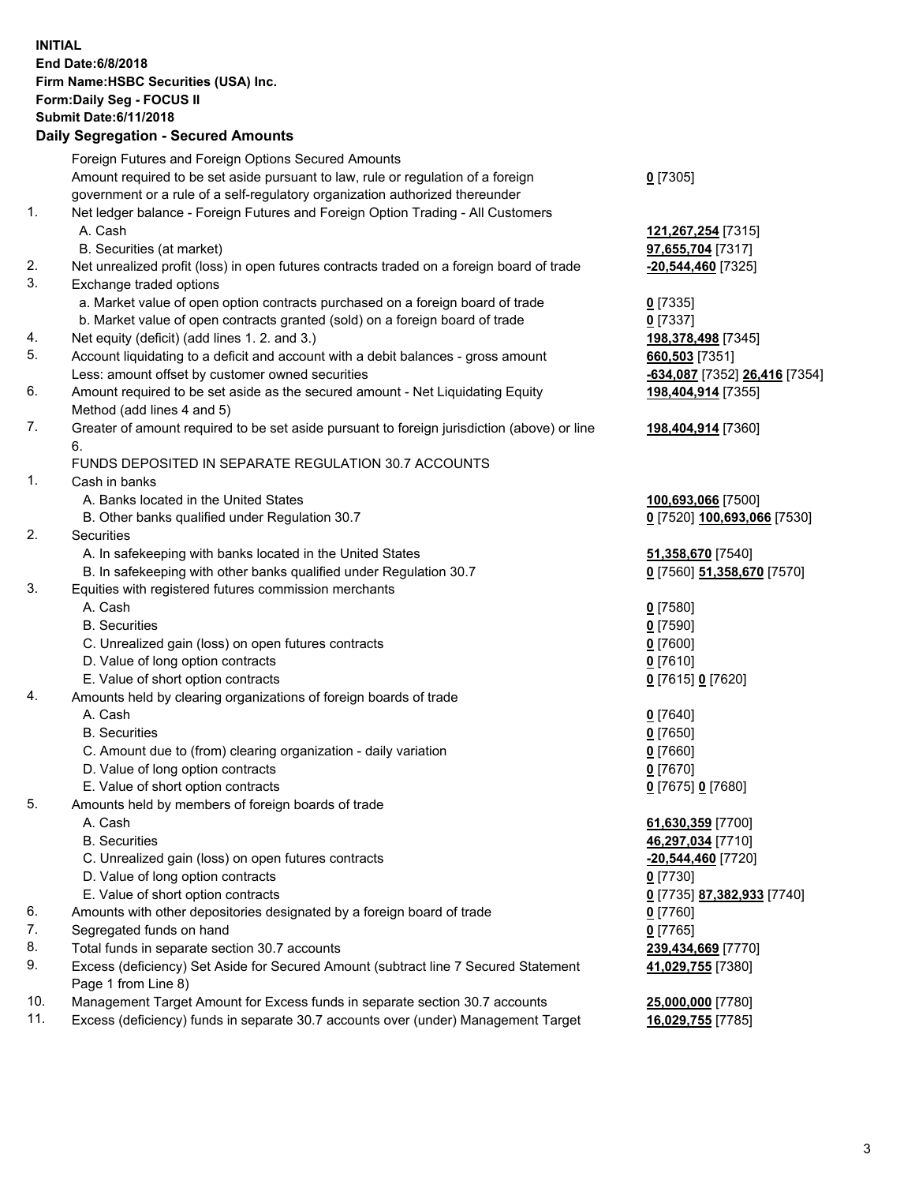**INITIAL End Date:6/8/2018 Firm Name:HSBC Securities (USA) Inc. Form:Daily Seg - FOCUS II Submit Date:6/11/2018 Daily Segregation - Secured Amounts**

|          | Foreign Futures and Foreign Options Secured Amounts                                                |                               |
|----------|----------------------------------------------------------------------------------------------------|-------------------------------|
|          | Amount required to be set aside pursuant to law, rule or regulation of a foreign                   | $0$ [7305]                    |
|          | government or a rule of a self-regulatory organization authorized thereunder                       |                               |
| 1.       | Net ledger balance - Foreign Futures and Foreign Option Trading - All Customers                    |                               |
|          | A. Cash                                                                                            | 121,267,254 [7315]            |
|          | B. Securities (at market)                                                                          | 97,655,704 [7317]             |
| 2.       | Net unrealized profit (loss) in open futures contracts traded on a foreign board of trade          | $-20,544,460$ [7325]          |
| 3.       | Exchange traded options                                                                            |                               |
|          | a. Market value of open option contracts purchased on a foreign board of trade                     | $0$ [7335]                    |
|          | b. Market value of open contracts granted (sold) on a foreign board of trade                       | $0$ [7337]                    |
| 4.       | Net equity (deficit) (add lines 1.2. and 3.)                                                       | 198,378,498 [7345]            |
| 5.       | Account liquidating to a deficit and account with a debit balances - gross amount                  | 660,503 [7351]                |
|          | Less: amount offset by customer owned securities                                                   | -634,087 [7352] 26,416 [7354] |
| 6.       | Amount required to be set aside as the secured amount - Net Liquidating Equity                     | 198,404,914 [7355]            |
|          | Method (add lines 4 and 5)                                                                         |                               |
| 7.       | Greater of amount required to be set aside pursuant to foreign jurisdiction (above) or line        | 198,404,914 [7360]            |
|          | 6.                                                                                                 |                               |
|          | FUNDS DEPOSITED IN SEPARATE REGULATION 30.7 ACCOUNTS                                               |                               |
| 1.       | Cash in banks                                                                                      |                               |
|          | A. Banks located in the United States                                                              | 100,693,066 [7500]            |
|          | B. Other banks qualified under Regulation 30.7                                                     | 0 [7520] 100,693,066 [7530]   |
| 2.       | Securities                                                                                         |                               |
|          | A. In safekeeping with banks located in the United States                                          | 51,358,670 [7540]             |
|          | B. In safekeeping with other banks qualified under Regulation 30.7                                 | 0 [7560] 51,358,670 [7570]    |
| 3.       | Equities with registered futures commission merchants                                              |                               |
|          | A. Cash                                                                                            | $0$ [7580]                    |
|          | <b>B.</b> Securities                                                                               | $0$ [7590]                    |
|          | C. Unrealized gain (loss) on open futures contracts                                                | $0$ [7600]                    |
|          | D. Value of long option contracts                                                                  | $0$ [7610]                    |
|          | E. Value of short option contracts                                                                 | 0 [7615] 0 [7620]             |
| 4.       | Amounts held by clearing organizations of foreign boards of trade                                  |                               |
|          | A. Cash                                                                                            | $0$ [7640]                    |
|          | <b>B.</b> Securities                                                                               | $0$ [7650]                    |
|          | C. Amount due to (from) clearing organization - daily variation                                    | $0$ [7660]                    |
|          | D. Value of long option contracts                                                                  | $0$ [7670]                    |
|          | E. Value of short option contracts                                                                 | 0 [7675] 0 [7680]             |
| 5.       | Amounts held by members of foreign boards of trade                                                 |                               |
|          | A. Cash                                                                                            | 61,630,359 [7700]             |
|          | <b>B.</b> Securities                                                                               | 46,297,034 [7710]             |
|          | C. Unrealized gain (loss) on open futures contracts                                                | $-20,544,460$ [7720]          |
|          | D. Value of long option contracts                                                                  | $0$ [7730]                    |
|          | E. Value of short option contracts                                                                 | 0 [7735] 87,382,933 [7740]    |
| 6.       | Amounts with other depositories designated by a foreign board of trade                             | $0$ [7760]                    |
| 7.       | Segregated funds on hand                                                                           | $0$ [7765]                    |
| 8.<br>9. | Total funds in separate section 30.7 accounts                                                      | 239,434,669 [7770]            |
|          | Excess (deficiency) Set Aside for Secured Amount (subtract line 7 Secured Statement                | 41,029,755 [7380]             |
| 10.      | Page 1 from Line 8)<br>Management Target Amount for Excess funds in separate section 30.7 accounts | 25,000,000 [7780]             |
| 11.      | Excess (deficiency) funds in separate 30.7 accounts over (under) Management Target                 | 16,029,755 [7785]             |
|          |                                                                                                    |                               |
|          |                                                                                                    |                               |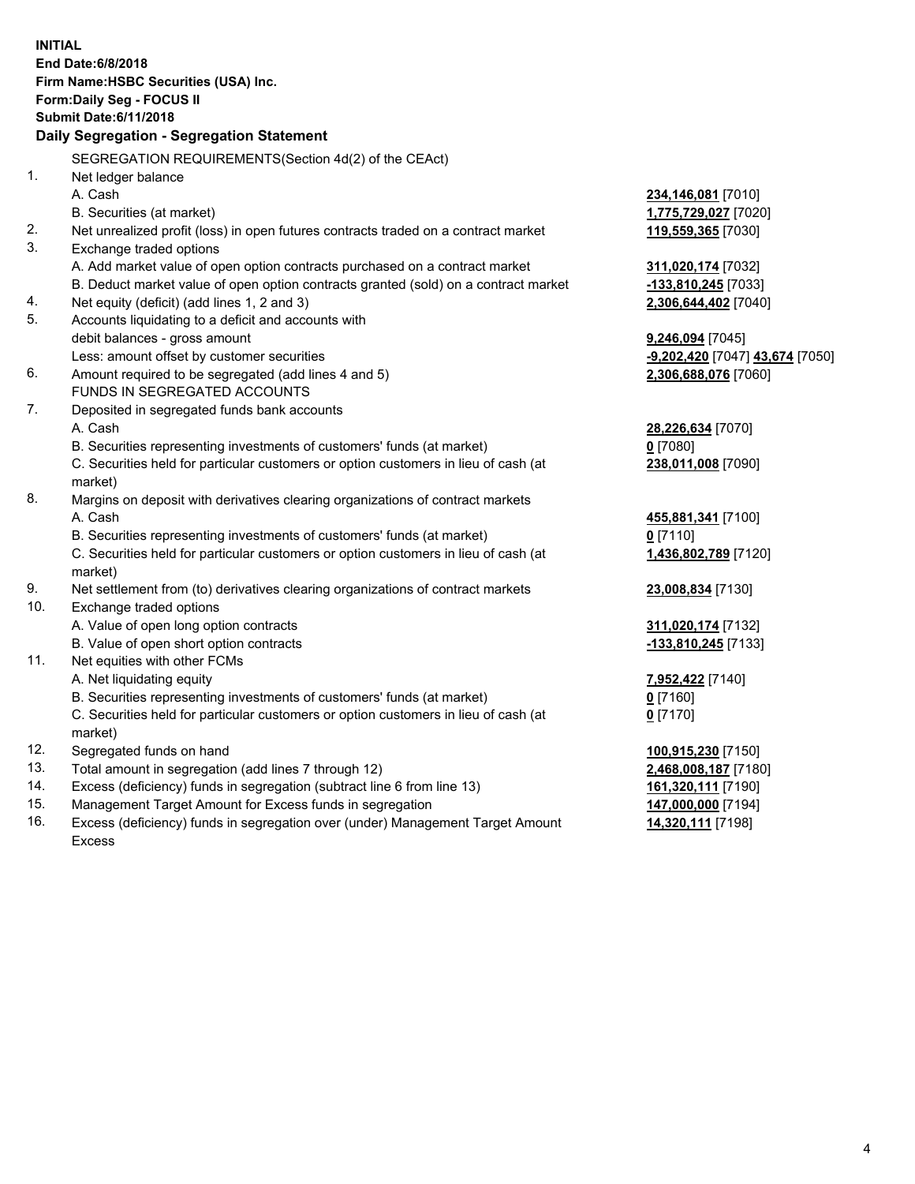| <b>INITIAL</b> |                                                                                                |                                 |  |  |  |  |  |
|----------------|------------------------------------------------------------------------------------------------|---------------------------------|--|--|--|--|--|
|                | <b>End Date:6/8/2018</b>                                                                       |                                 |  |  |  |  |  |
|                | Firm Name: HSBC Securities (USA) Inc.                                                          |                                 |  |  |  |  |  |
|                | Form: Daily Seg - FOCUS II                                                                     |                                 |  |  |  |  |  |
|                | <b>Submit Date:6/11/2018</b>                                                                   |                                 |  |  |  |  |  |
|                | Daily Segregation - Segregation Statement                                                      |                                 |  |  |  |  |  |
|                | SEGREGATION REQUIREMENTS(Section 4d(2) of the CEAct)                                           |                                 |  |  |  |  |  |
| 1.             | Net ledger balance                                                                             |                                 |  |  |  |  |  |
|                | A. Cash                                                                                        | 234,146,081 [7010]              |  |  |  |  |  |
|                | B. Securities (at market)                                                                      | 1,775,729,027 [7020]            |  |  |  |  |  |
| 2.             | Net unrealized profit (loss) in open futures contracts traded on a contract market             | 119,559,365 [7030]              |  |  |  |  |  |
| 3.             | Exchange traded options                                                                        |                                 |  |  |  |  |  |
|                | A. Add market value of open option contracts purchased on a contract market                    | 311,020,174 [7032]              |  |  |  |  |  |
|                | B. Deduct market value of open option contracts granted (sold) on a contract market            | -133,810,245 [7033]             |  |  |  |  |  |
| 4.             | Net equity (deficit) (add lines 1, 2 and 3)                                                    | 2,306,644,402 [7040]            |  |  |  |  |  |
| 5.             | Accounts liquidating to a deficit and accounts with                                            |                                 |  |  |  |  |  |
|                | debit balances - gross amount                                                                  | 9,246,094 [7045]                |  |  |  |  |  |
|                | Less: amount offset by customer securities                                                     | -9,202,420 [7047] 43,674 [7050] |  |  |  |  |  |
| 6.             | Amount required to be segregated (add lines 4 and 5)                                           | 2,306,688,076 [7060]            |  |  |  |  |  |
|                | FUNDS IN SEGREGATED ACCOUNTS                                                                   |                                 |  |  |  |  |  |
| 7.             | Deposited in segregated funds bank accounts                                                    |                                 |  |  |  |  |  |
|                | A. Cash                                                                                        | 28,226,634 [7070]               |  |  |  |  |  |
|                | B. Securities representing investments of customers' funds (at market)                         | $0$ [7080]                      |  |  |  |  |  |
|                | C. Securities held for particular customers or option customers in lieu of cash (at            | 238,011,008 [7090]              |  |  |  |  |  |
|                | market)                                                                                        |                                 |  |  |  |  |  |
| 8.             | Margins on deposit with derivatives clearing organizations of contract markets                 |                                 |  |  |  |  |  |
|                | A. Cash                                                                                        | 455,881,341 [7100]              |  |  |  |  |  |
|                | B. Securities representing investments of customers' funds (at market)                         | $0$ [7110]                      |  |  |  |  |  |
|                | C. Securities held for particular customers or option customers in lieu of cash (at<br>market) | 1,436,802,789 [7120]            |  |  |  |  |  |
| 9.             | Net settlement from (to) derivatives clearing organizations of contract markets                | 23,008,834 [7130]               |  |  |  |  |  |
| 10.            | Exchange traded options                                                                        |                                 |  |  |  |  |  |
|                | A. Value of open long option contracts                                                         | 311,020,174 [7132]              |  |  |  |  |  |
|                | B. Value of open short option contracts                                                        | -133,810,245 [7133]             |  |  |  |  |  |
| 11.            | Net equities with other FCMs                                                                   |                                 |  |  |  |  |  |
|                | A. Net liquidating equity                                                                      | 7,952,422 [7140]                |  |  |  |  |  |
|                | B. Securities representing investments of customers' funds (at market)                         | 0 [7160]                        |  |  |  |  |  |
|                | C. Securities held for particular customers or option customers in lieu of cash (at            | $0$ [7170]                      |  |  |  |  |  |
|                | market)                                                                                        |                                 |  |  |  |  |  |
| 12.            | Segregated funds on hand                                                                       | 100,915,230 [7150]              |  |  |  |  |  |
| 13.            | Total amount in segregation (add lines 7 through 12)                                           | 2,468,008,187 [7180]            |  |  |  |  |  |
| 14.            | Excess (deficiency) funds in segregation (subtract line 6 from line 13)                        | 161,320,111 [7190]              |  |  |  |  |  |
| 15.            | Management Target Amount for Excess funds in segregation                                       | 147,000,000 [7194]              |  |  |  |  |  |
| 16.            | Excess (deficiency) funds in segregation over (under) Management Target Amount                 | 14,320,111 [7198]               |  |  |  |  |  |

16. Excess (deficiency) funds in segregation over (under) Management Target Amount Excess